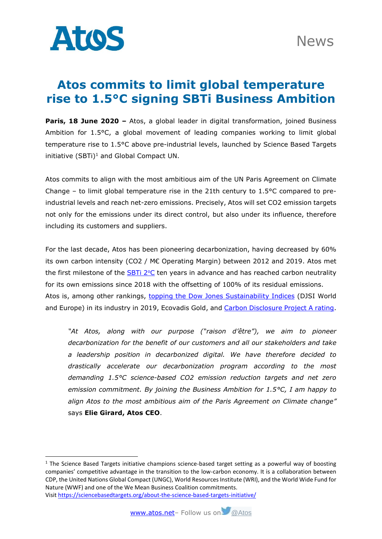

## **Atos commits to limit global temperature rise to 1.5°C signing SBTi Business Ambition**

**Paris, 18 June 2020 –** Atos, a global leader in digital transformation, joined Business Ambition for 1.5°C, a global movement of leading companies working to limit global temperature rise to 1.5°C above pre-industrial levels, launched by Science Based Targets initiative  $(SBTi)^1$  and Global Compact UN.

Atos commits to align with the most ambitious aim of the UN Paris Agreement on Climate Change – to limit global temperature rise in the 21th century to  $1.5^{\circ}$ C compared to preindustrial levels and reach net-zero emissions. Precisely, Atos will set CO2 emission targets not only for the emissions under its direct control, but also under its influence, therefore including its customers and suppliers.

For the last decade, Atos has been pioneering decarbonization, having decreased by 60% its own carbon intensity (CO2 / M€ Operating Margin) between 2012 and 2019. Atos met the first milestone of the SBTi  $2^{\circ}$ C ten years in advance and has reached carbon neutrality for its own emissions since 2018 with the offsetting of 100% of its residual emissions. Atos is, among other rankings, [topping the Dow Jones Sustainability Indices](https://atos.net/en/2018/press-release_2018_09_17/atos-ranked-n1-dow-jones-sustainability-indices-djsi-world-europe-digital-sector-corporate-responsibility-sustainability-performance) (DJSI World and Europe) in its industry in 2019, Ecovadis Gold, and [Carbon Disclosure Project A rating.](https://atos.net/en/2015/press-release/general-press-releases_2015_11_04/pr-2015_11_04_01)

*"At Atos, along with our purpose ("raison d'être"), we aim to pioneer decarbonization for the benefit of our customers and all our stakeholders and take a leadership position in decarbonized digital. We have therefore decided to drastically accelerate our decarbonization program according to the most demanding 1.5°C science-based CO2 emission reduction targets and net zero emission commitment. By joining the Business Ambition for 1.5°C, I am happy to align Atos to the most ambitious aim of the Paris Agreement on Climate change"*  says **Elie Girard, Atos CEO**.

 $<sup>1</sup>$  The Science Based Targets initiative champions science-based target setting as a powerful way of boosting</sup> companies' competitive advantage in the transition to the low-carbon economy. It is a collaboration between CDP, the United Nations Global Compact (UNGC), World Resources Institute (WRI), and the World Wide Fund for Nature (WWF) and one of the We Mean Business Coalition commitments. Visi[t https://sciencebasedtargets.org/about-the-science-based-targets-initiative/](https://sciencebasedtargets.org/about-the-science-based-targets-initiative/)